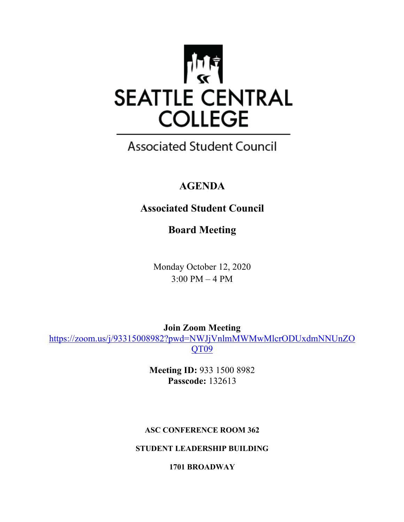

# **Associated Student Council**

# **AGENDA**

# **Associated Student Council**

**Board Meeting**

Monday October 12, 2020 3:00 PM – 4 PM

**Join Zoom Meeting**  https://zoom.us/j/93315008982?pwd=NWJjVnlmMWMwMlcrODUxdmNNUnZO QT09

> **Meeting ID:** 933 1500 8982 **Passcode:** 132613

## **ASC CONFERENCE ROOM 362**

**STUDENT LEADERSHIP BUILDING**

**1701 BROADWAY**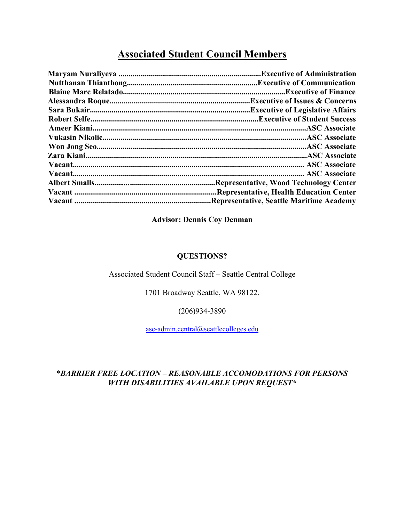## **Associated Student Council Members**

| <b>Representative, Health Education Center.</b> |
|-------------------------------------------------|
| "Representative, Seattle Maritime Academy       |

## **Advisor: Dennis Coy Denman**

#### **QUESTIONS?**

#### Associated Student Council Staff – Seattle Central College

1701 Broadway Seattle, WA 98122.

(206)934-3890

asc-admin.central@seattlecolleges.edu

## \**BARRIER FREE LOCATION – REASONABLE ACCOMODATIONS FOR PERSONS WITH DISABILITIES AVAILABLE UPON REQUEST\**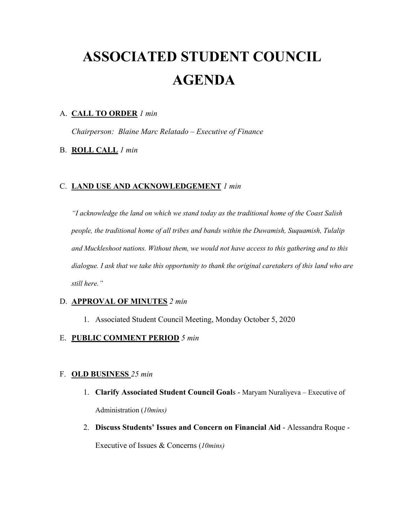# **ASSOCIATED STUDENT COUNCIL AGENDA**

#### A. **CALL TO ORDER** *1 min*

*Chairperson: Blaine Marc Relatado – Executive of Finance* 

#### B. **ROLL CALL** *1 min*

#### C. **LAND USE AND ACKNOWLEDGEMENT** *1 min*

*"I acknowledge the land on which we stand today as the traditional home of the Coast Salish people, the traditional home of all tribes and bands within the Duwamish, Suquamish, Tulalip and Muckleshoot nations. Without them, we would not have access to this gathering and to this dialogue. I ask that we take this opportunity to thank the original caretakers of this land who are still here."* 

#### D. **APPROVAL OF MINUTES** *2 min*

1. Associated Student Council Meeting, Monday October 5, 2020

#### E. **PUBLIC COMMENT PERIOD** *5 min*

#### F. **OLD BUSINESS** *25 min*

- 1. **Clarify Associated Student Council Goal**s Maryam Nuraliyeva Executive of Administration (*10mins)*
- 2. **Discuss Students' Issues and Concern on Financial Aid** Alessandra Roque -

Executive of Issues & Concerns (*10mins)*